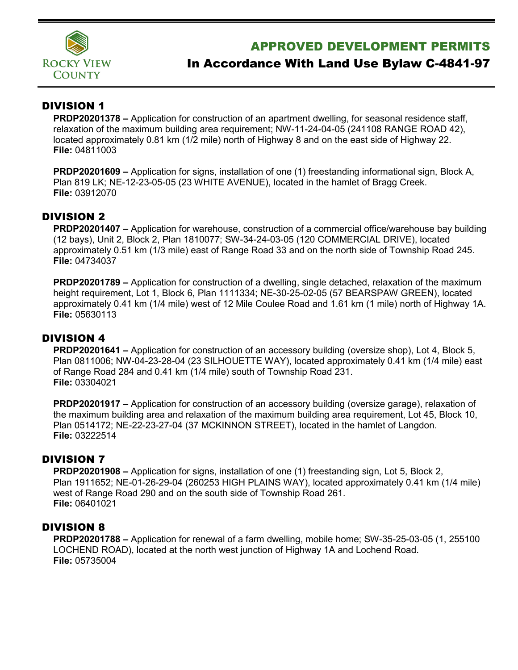

# APPROVED DEVELOPMENT PERMITS

# In Accordance With Land Use Bylaw C-4841-97

## DIVISION 1

**PRDP20201378 –** Application for construction of an apartment dwelling, for seasonal residence staff, relaxation of the maximum building area requirement; NW-11-24-04-05 (241108 RANGE ROAD 42), located approximately 0.81 km (1/2 mile) north of Highway 8 and on the east side of Highway 22. **File:** 04811003

**PRDP20201609 –** Application for signs, installation of one (1) freestanding informational sign, Block A, Plan 819 LK; NE-12-23-05-05 (23 WHITE AVENUE), located in the hamlet of Bragg Creek. **File:** 03912070

## DIVISION 2

**PRDP20201407 –** Application for warehouse, construction of a commercial office/warehouse bay building (12 bays), Unit 2, Block 2, Plan 1810077; SW-34-24-03-05 (120 COMMERCIAL DRIVE), located approximately 0.51 km (1/3 mile) east of Range Road 33 and on the north side of Township Road 245. **File:** 04734037

**PRDP20201789 –** Application for construction of a dwelling, single detached, relaxation of the maximum height requirement, Lot 1, Block 6, Plan 1111334; NE-30-25-02-05 (57 BEARSPAW GREEN), located approximately 0.41 km (1/4 mile) west of 12 Mile Coulee Road and 1.61 km (1 mile) north of Highway 1A. **File:** 05630113

## DIVISION 4

**PRDP20201641 –** Application for construction of an accessory building (oversize shop), Lot 4, Block 5, Plan 0811006; NW-04-23-28-04 (23 SILHOUETTE WAY), located approximately 0.41 km (1/4 mile) east of Range Road 284 and 0.41 km (1/4 mile) south of Township Road 231. **File:** 03304021

**PRDP20201917 –** Application for construction of an accessory building (oversize garage), relaxation of the maximum building area and relaxation of the maximum building area requirement, Lot 45, Block 10, Plan 0514172; NE-22-23-27-04 (37 MCKINNON STREET), located in the hamlet of Langdon. **File:** 03222514

## DIVISION 7

**PRDP20201908 –** Application for signs, installation of one (1) freestanding sign, Lot 5, Block 2, Plan 1911652; NE-01-26-29-04 (260253 HIGH PLAINS WAY), located approximately 0.41 km (1/4 mile) west of Range Road 290 and on the south side of Township Road 261. **File:** 06401021

#### DIVISION 8

**PRDP20201788 –** Application for renewal of a farm dwelling, mobile home; SW-35-25-03-05 (1, 255100 LOCHEND ROAD), located at the north west junction of Highway 1A and Lochend Road. **File:** 05735004